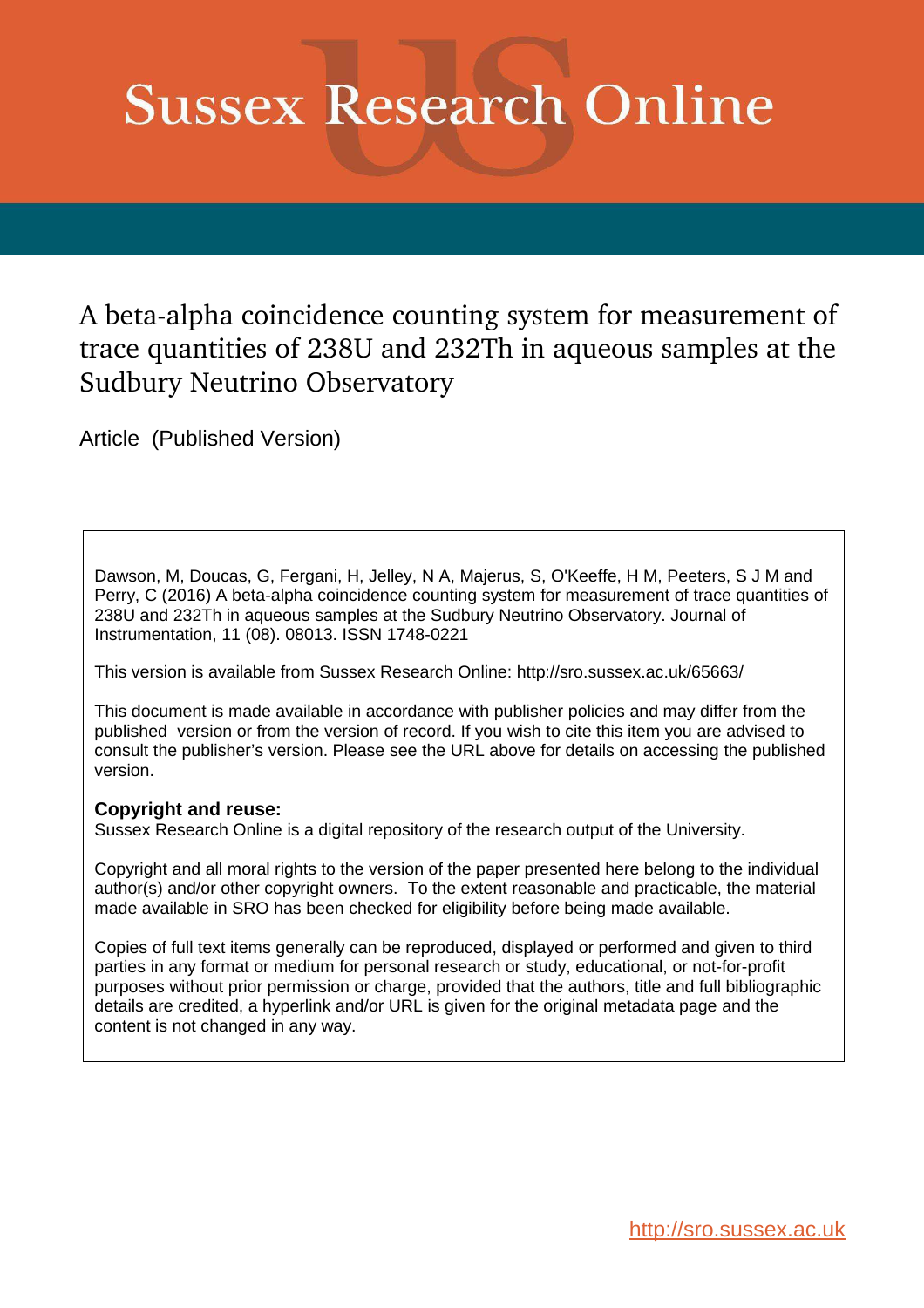# **Sussex Research Online**

A beta-alpha coincidence counting system for measurement of trace quantities of 238U and 232Th in aqueous samples at the Sudbury Neutrino Observatory

Article (Published Version)

Dawson, M, Doucas, G, Fergani, H, Jelley, N A, Majerus, S, O'Keeffe, H M, Peeters, S J M and Perry, C (2016) A beta-alpha coincidence counting system for measurement of trace quantities of 238U and 232Th in aqueous samples at the Sudbury Neutrino Observatory. Journal of Instrumentation, 11 (08). 08013. ISSN 1748-0221

This version is available from Sussex Research Online: http://sro.sussex.ac.uk/65663/

This document is made available in accordance with publisher policies and may differ from the published version or from the version of record. If you wish to cite this item you are advised to consult the publisher's version. Please see the URL above for details on accessing the published version.

#### **Copyright and reuse:**

Sussex Research Online is a digital repository of the research output of the University.

Copyright and all moral rights to the version of the paper presented here belong to the individual author(s) and/or other copyright owners. To the extent reasonable and practicable, the material made available in SRO has been checked for eligibility before being made available.

Copies of full text items generally can be reproduced, displayed or performed and given to third parties in any format or medium for personal research or study, educational, or not-for-profit purposes without prior permission or charge, provided that the authors, title and full bibliographic details are credited, a hyperlink and/or URL is given for the original metadata page and the content is not changed in any way.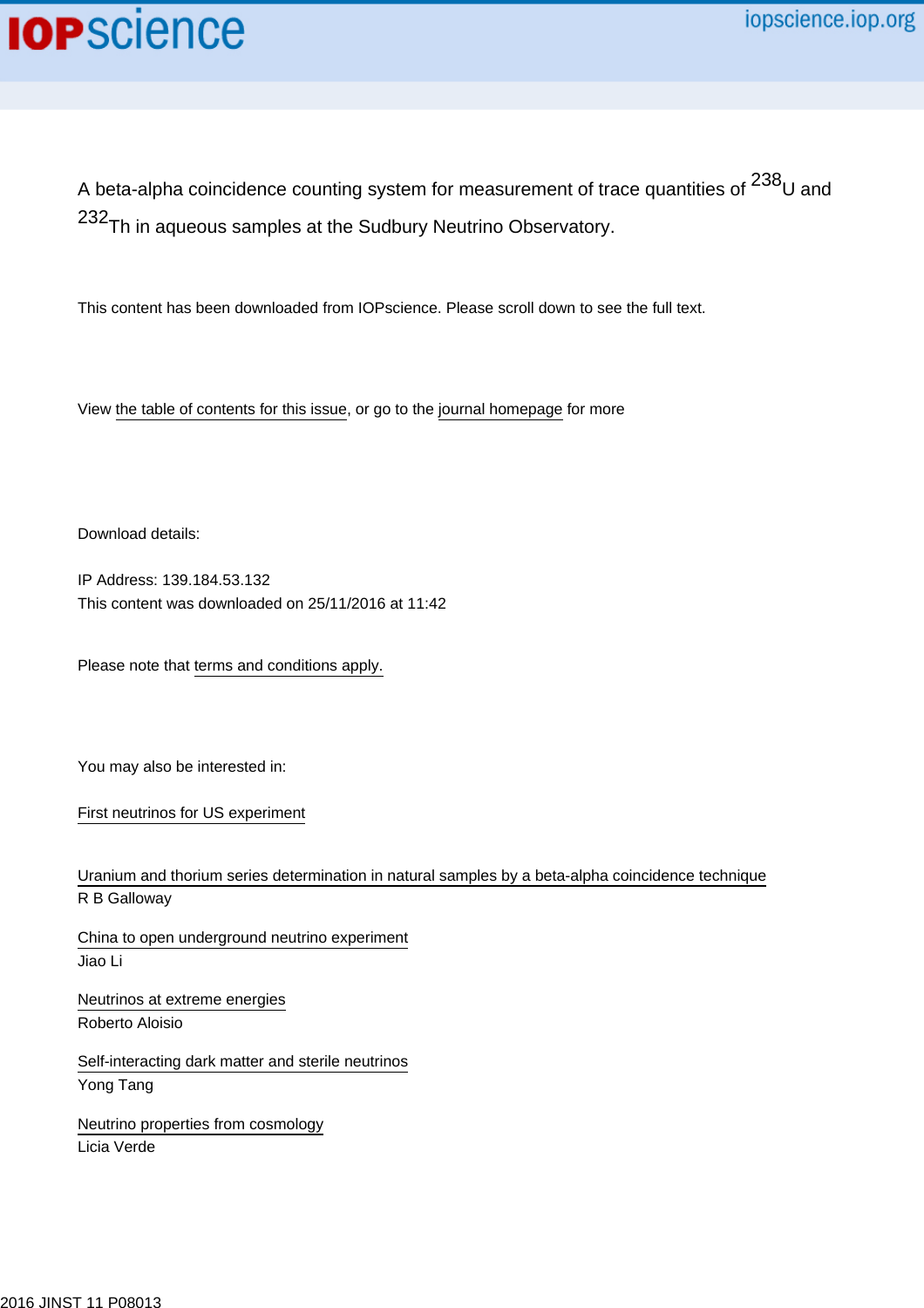## **IOP**science

A beta-alpha coincidence counting system for measurement of trace quantities of  $^{238}$ U and 232<sub>Th in aqueous samples at the Sudbury Neutrino Observatory.</sub>

This content has been downloaded from IOPscience. Please scroll down to see the full text.

View [the table of contents for this issue](http://iopscience.iop.org/1748-0221/11/08), or go to the [journal homepage](http://iopscience.iop.org/1748-0221) for more

Download details:

IP Address: 139.184.53.132 This content was downloaded on 25/11/2016 at 11:42

Please note that [terms and conditions apply.](http://iopscience.iop.org/page/terms)

You may also be interested in:

[First neutrinos for US experiment](http://iopscience.iop.org/article/10.1088/2058-7058/27/03/21)

[Uranium and thorium series determination in natural samples by a beta-alpha coincidence technique](http://iopscience.iop.org/article/10.1088/0957-0233/1/8/010) R B Galloway

[China to open underground neutrino experiment](http://iopscience.iop.org/article/10.1088/2058-7058/27/04/17) Jiao Li

[Neutrinos at extreme energies](http://iopscience.iop.org/article/10.1088/1742-6596/718/5/052001) Roberto Aloisio

[Self-interacting dark matter and sterile neutrinos](http://iopscience.iop.org/article/10.1088/1742-6596/718/4/042056) Yong Tang

[Neutrino properties from cosmology](http://iopscience.iop.org/article/10.1088/1742-6596/598/1/012010) Licia Verde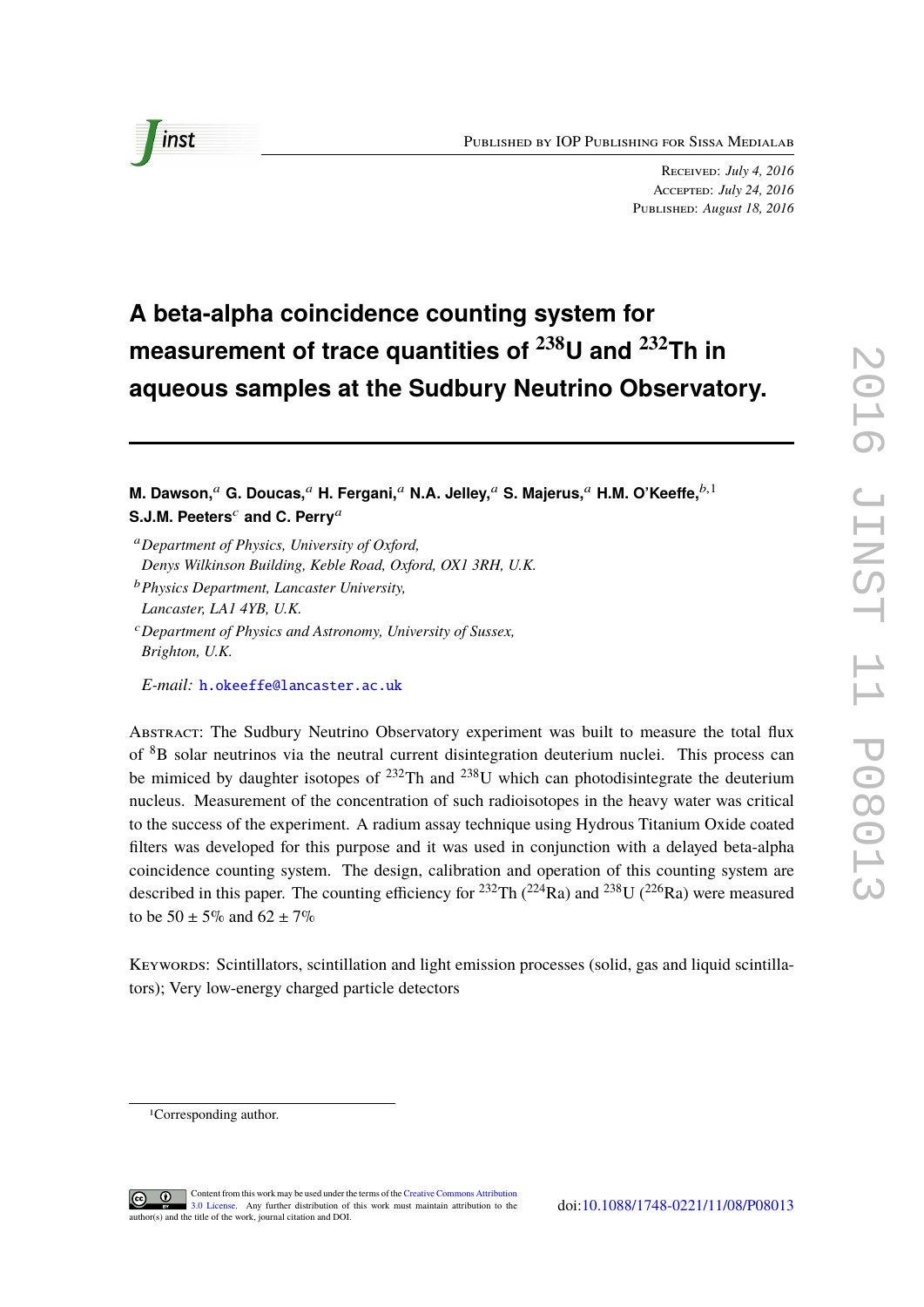

Received: *July 4, 2016* Accepted: *July 24, 2016* Published: *August 18, 2016*

### **A beta-alpha coincidence counting system for measurement of trace quantities of <sup>238</sup>U and <sup>232</sup>Th in aqueous samples at the Sudbury Neutrino Observatory.**

**M. Dawson,**<sup>a</sup> **G. Doucas,**<sup>a</sup> **H. Fergani,**<sup>a</sup> **N.A. Jelley,**<sup>a</sup> **S. Majerus,**<sup>a</sup> **H.M. O'Keeffe,**b,<sup>1</sup> **S.J.M. Peeters<sup>c</sup> and C. Perry<sup>a</sup>** 

<sup>a</sup>*Department of Physics, University of Oxford, Denys Wilkinson Building, Keble Road, Oxford, OX1 3RH, U.K.*

*E-mail:* [h.okeeffe@lancaster.ac.uk](mailto:h.okeeffe@lancaster.ac.uk)

Abstract: The Sudbury Neutrino Observatory experiment was built to measure the total flux of <sup>8</sup>B solar neutrinos via the neutral current disintegration deuterium nuclei. This process can be mimiced by daughter isotopes of  $^{232}$ Th and  $^{238}$ U which can photodisintegrate the deuterium nucleus. Measurement of the concentration of such radioisotopes in the heavy water was critical to the success of the experiment. A radium assay technique using Hydrous Titanium Oxide coated filters was developed for this purpose and it was used in conjunction with a delayed beta-alpha coincidence counting system. The design, calibration and operation of this counting system are described in this paper. The counting efficiency for  $^{232}$ Th  $(^{224}$ Ra) and  $^{238}$ U  $(^{226}$ Ra) were measured to be  $50 \pm 5\%$  and  $62 \pm 7\%$ 

Keywords: Scintillators, scintillation and light emission processes (solid, gas and liquid scintillators); Very low-energy charged particle detectors

<sup>1</sup>Corresponding author.



<span id="page-2-0"></span><sup>b</sup>*Physics Department, Lancaster University,*

*Lancaster, LA1 4YB, U.K.*

<sup>c</sup>*Department of Physics and Astronomy, University of Sussex, Brighton, U.K.*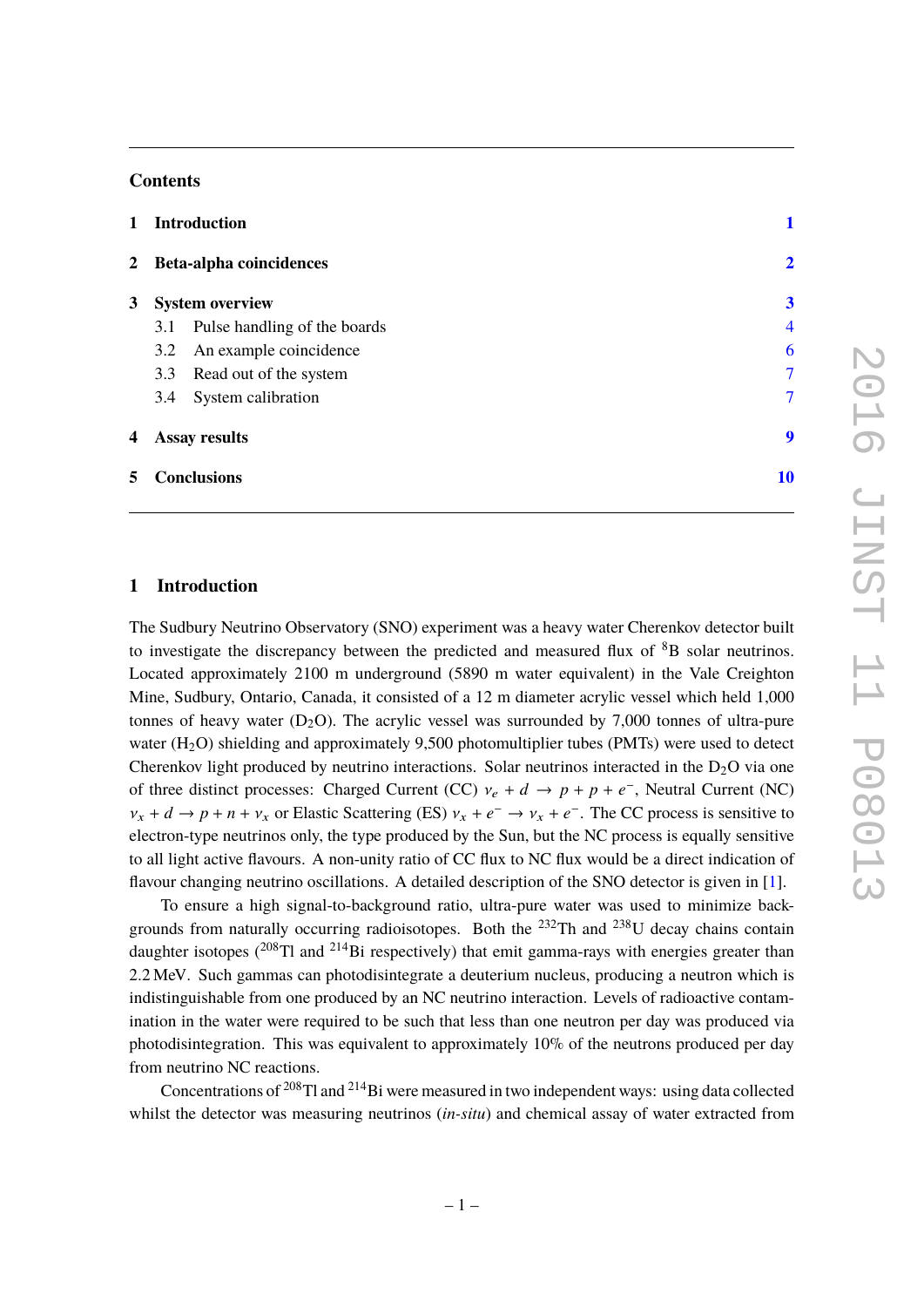#### **Contents**

| $\mathbf{1}$ | <b>Introduction</b>              |                          |
|--------------|----------------------------------|--------------------------|
|              | 2 Beta-alpha coincidences        | $\overline{\mathbf{2}}$  |
| 3            | <b>System overview</b>           | $\overline{\mathbf{3}}$  |
|              | 3.1 Pulse handling of the boards | $\overline{\mathcal{A}}$ |
|              | 3.2 An example coincidence       | 6                        |
|              | 3.3 Read out of the system       | $\overline{7}$           |
|              | System calibration<br>3.4        | $\overline{7}$           |
| 4            | <b>Assay results</b>             | 9                        |
| 5            | <b>Conclusions</b>               | 10                       |

#### **1 Introduction**

The Sudbury Neutrino Observatory (SNO) experiment was a heavy water Cherenkov detector built to investigate the discrepancy between the predicted and measured flux of  ${}^{8}B$  solar neutrinos. Located approximately 2100 m underground (5890 m water equivalent) in the Vale Creighton Mine, Sudbury, Ontario, Canada, it consisted of a 12 m diameter acrylic vessel which held 1,000 tonnes of heavy water  $(D_2O)$ . The acrylic vessel was surrounded by 7,000 tonnes of ultra-pure water  $(H_2O)$  shielding and approximately 9,500 photomultiplier tubes (PMTs) were used to detect Cherenkov light produced by neutrino interactions. Solar neutrinos interacted in the  $D_2O$  via one of three distinct processes: Charged Current (CC)  $v_e + d \rightarrow p + p + e^{-}$ , Neutral Current (NC)  $v_x + d \rightarrow p + n + v_x$  or Elastic Scattering (ES)  $v_x + e^- \rightarrow v_x + e^-$ . The CC process is sensitive to electron-type neutrinos only, the type produced by the Sun, but the NC process is equally sensitive to all light active flavours. A non-unity ratio of CC flux to NC flux would be a direct indication of flavour changing neutrino oscillations. A detailed description of the SNO detector is given in [\[1\]](#page-11-1).

<span id="page-3-0"></span>To ensure a high signal-to-background ratio, ultra-pure water was used to minimize backgrounds from naturally occurring radioisotopes. Both the  $^{232}$ Th and  $^{238}$ U decay chains contain daughter isotopes  $(^{208}Tl$  and  $^{214}Bi$  respectively) that emit gamma-rays with energies greater than 2.2 MeV. Such gammas can photodisintegrate a deuterium nucleus, producing a neutron which is indistinguishable from one produced by an NC neutrino interaction. Levels of radioactive contamination in the water were required to be such that less than one neutron per day was produced via photodisintegration. This was equivalent to approximately 10% of the neutrons produced per day from neutrino NC reactions.

Concentrations of <sup>208</sup>Tl and <sup>214</sup>Bi were measured in two independent ways: using data collected whilst the detector was measuring neutrinos (*in-situ*) and chemical assay of water extracted from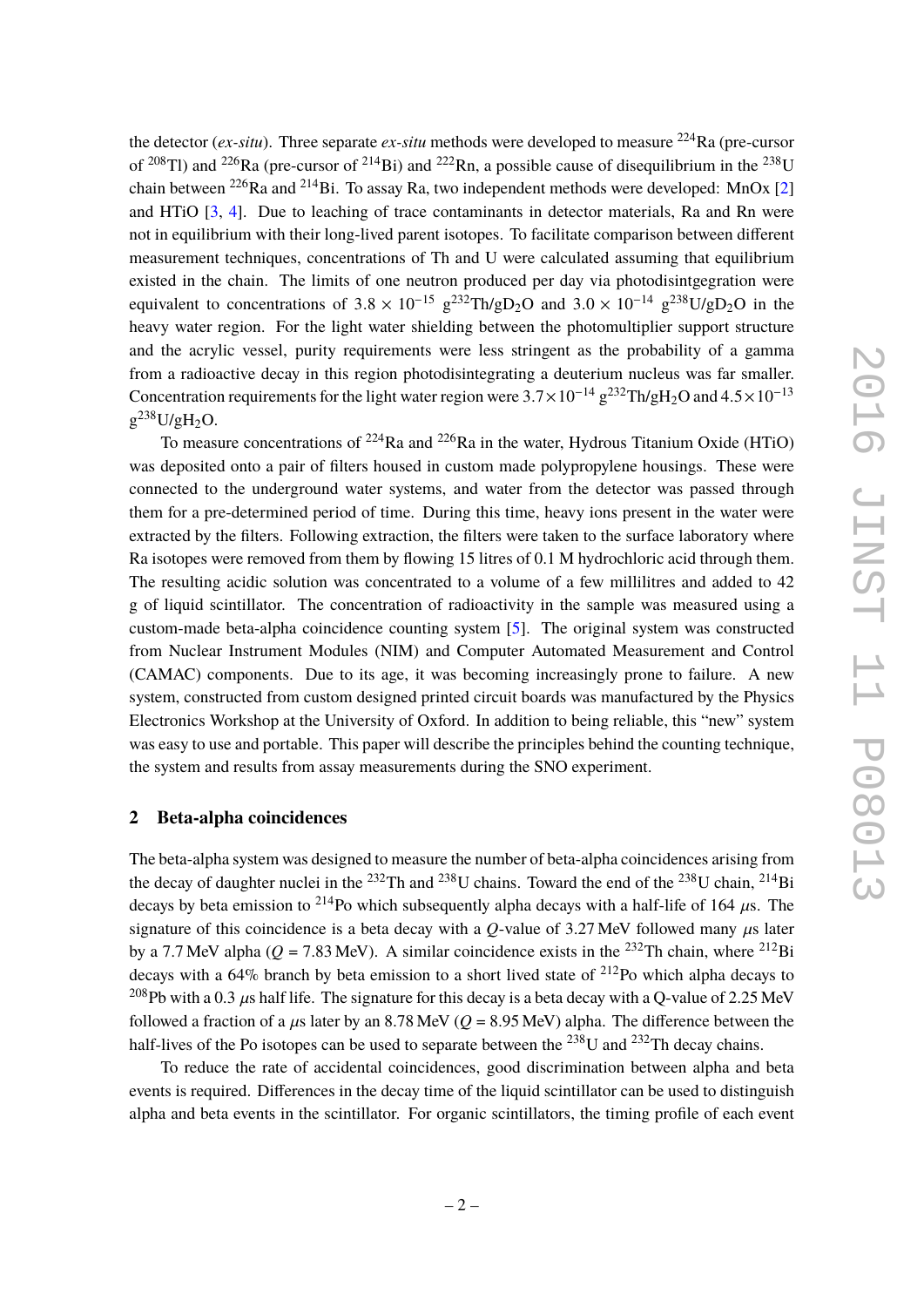the detector (*ex-situ*). Three separate *ex-situ* methods were developed to measure <sup>224</sup>Ra (pre-cursor of <sup>208</sup>Tl) and <sup>226</sup>Ra (pre-cursor of <sup>214</sup>Bi) and <sup>222</sup>Rn, a possible cause of disequilibrium in the <sup>238</sup>U chain between <sup>226</sup>Ra and <sup>214</sup>Bi. To assay Ra, two independent methods were developed: MnOx [\[2\]](#page-11-2) and HTiO [\[3,](#page-11-3) [4\]](#page-11-4). Due to leaching of trace contaminants in detector materials, Ra and Rn were not in equilibrium with their long-lived parent isotopes. To facilitate comparison between different measurement techniques, concentrations of Th and U were calculated assuming that equilibrium existed in the chain. The limits of one neutron produced per day via photodisintgegration were equivalent to concentrations of  $3.8 \times 10^{-15}$  g<sup>232</sup>Th/gD<sub>2</sub>O and  $3.0 \times 10^{-14}$  g<sup>238</sup>U/gD<sub>2</sub>O in the heavy water region. For the light water shielding between the photomultiplier support structure and the acrylic vessel, purity requirements were less stringent as the probability of a gamma from a radioactive decay in this region photodisintegrating a deuterium nucleus was far smaller. Concentration requirements for the light water region were  $3.7 \times 10^{-14}$  g<sup>232</sup>Th/gH<sub>2</sub>O and  $4.5 \times 10^{-13}$  $g^{238}U/gH_2O.$ 

<span id="page-4-0"></span>To measure concentrations of  $^{224}$ Ra and  $^{226}$ Ra in the water, Hydrous Titanium Oxide (HTiO) was deposited onto a pair of filters housed in custom made polypropylene housings. These were connected to the underground water systems, and water from the detector was passed through them for a pre-determined period of time. During this time, heavy ions present in the water were extracted by the filters. Following extraction, the filters were taken to the surface laboratory where Ra isotopes were removed from them by flowing 15 litres of 0.1 M hydrochloric acid through them. The resulting acidic solution was concentrated to a volume of a few millilitres and added to 42 g of liquid scintillator. The concentration of radioactivity in the sample was measured using a custom-made beta-alpha coincidence counting system [\[5\]](#page-11-5). The original system was constructed from Nuclear Instrument Modules (NIM) and Computer Automated Measurement and Control (CAMAC) components. Due to its age, it was becoming increasingly prone to failure. A new system, constructed from custom designed printed circuit boards was manufactured by the Physics Electronics Workshop at the University of Oxford. In addition to being reliable, this "new" system was easy to use and portable. This paper will describe the principles behind the counting technique, the system and results from assay measurements during the SNO experiment.

#### **2 Beta-alpha coincidences**

The beta-alpha system was designed to measure the number of beta-alpha coincidences arising from the decay of daughter nuclei in the <sup>232</sup>Th and <sup>238</sup>U chains. Toward the end of the <sup>238</sup>U chain, <sup>214</sup>Bi decays by beta emission to <sup>214</sup>Po which subsequently alpha decays with a half-life of 164  $\mu$ s. The signature of this coincidence is a beta decay with a  $O$ -value of 3.27 MeV followed many  $\mu$ s later by a 7.7 MeV alpha ( $Q = 7.83$  MeV). A similar coincidence exists in the <sup>232</sup>Th chain, where <sup>212</sup>Bi decays with a  $64\%$  branch by beta emission to a short lived state of  $2^{12}$ Po which alpha decays to <sup>208</sup>Pb with a 0.3 us half life. The signature for this decay is a beta decay with a O-value of 2.25 MeV followed a fraction of a  $\mu$ s later by an 8.78 MeV ( $Q = 8.95$  MeV) alpha. The difference between the half-lives of the Po isotopes can be used to separate between the <sup>238</sup>U and <sup>232</sup>Th decay chains.

<span id="page-4-2"></span><span id="page-4-1"></span>To reduce the rate of accidental coincidences, good discrimination between alpha and beta events is required. Differences in the decay time of the liquid scintillator can be used to distinguish alpha and beta events in the scintillator. For organic scintillators, the timing profile of each event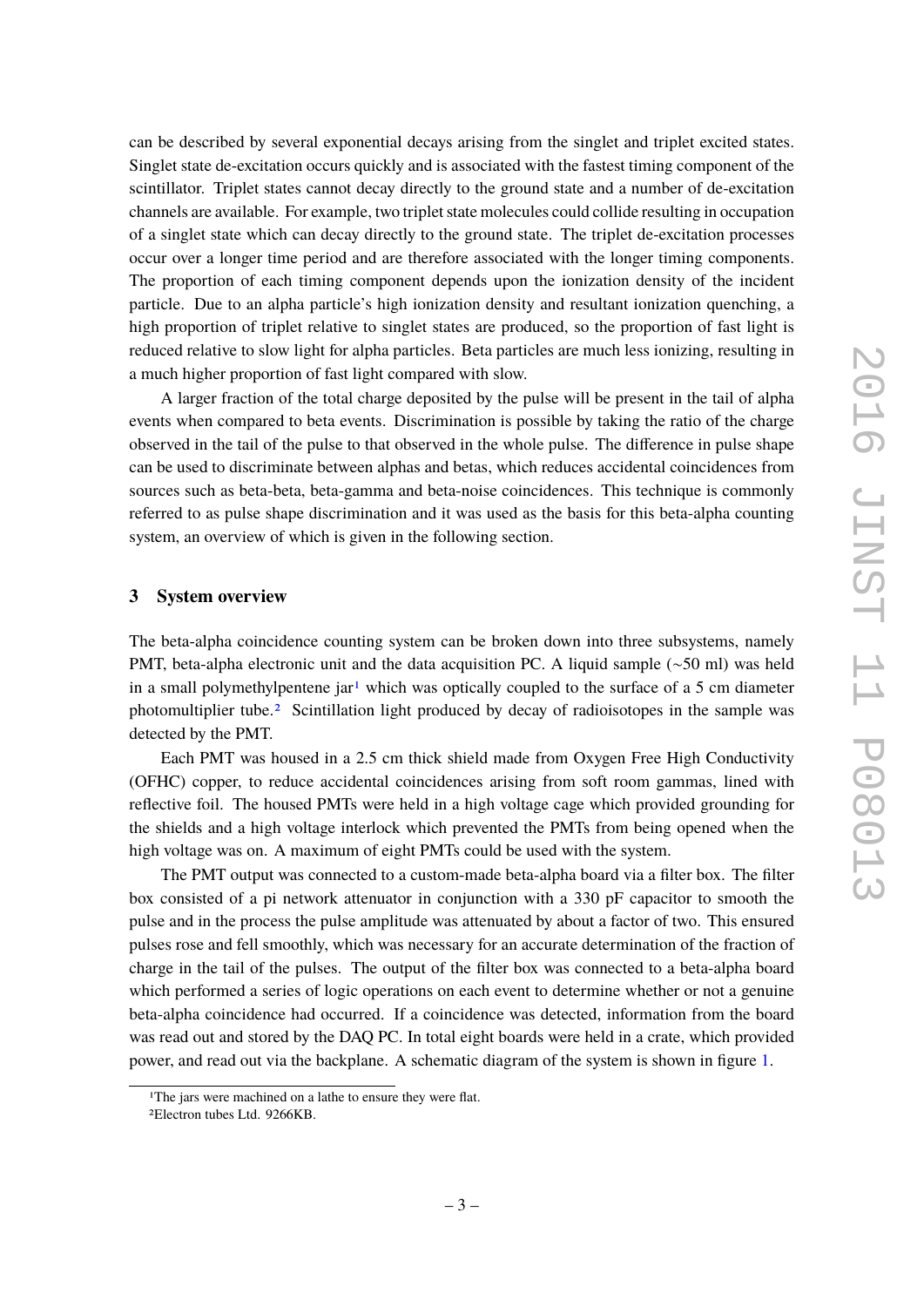can be described by several exponential decays arising from the singlet and triplet excited states. Singlet state de-excitation occurs quickly and is associated with the fastest timing component of the scintillator. Triplet states cannot decay directly to the ground state and a number of de-excitation channels are available. For example, two triplet state molecules could collide resulting in occupation of a singlet state which can decay directly to the ground state. The triplet de-excitation processes occur over a longer time period and are therefore associated with the longer timing components. The proportion of each timing component depends upon the ionization density of the incident particle. Due to an alpha particle's high ionization density and resultant ionization quenching, a high proportion of triplet relative to singlet states are produced, so the proportion of fast light is reduced relative to slow light for alpha particles. Beta particles are much less ionizing, resulting in a much higher proportion of fast light compared with slow.

A larger fraction of the total charge deposited by the pulse will be present in the tail of alpha events when compared to beta events. Discrimination is possible by taking the ratio of the charge observed in the tail of the pulse to that observed in the whole pulse. The difference in pulse shape can be used to discriminate between alphas and betas, which reduces accidental coincidences from sources such as beta-beta, beta-gamma and beta-noise coincidences. This technique is commonly referred to as pulse shape discrimination and it was used as the basis for this beta-alpha counting system, an overview of which is given in the following section.

#### <span id="page-5-1"></span>**3 System overview**

<span id="page-5-0"></span>The beta-alpha coincidence counting system can be broken down into three subsystems, namely PMT, beta-alpha electronic unit and the data acquisition PC. A liquid sample (∼50 ml) was held in a small polymethylpentene jar<sup>[1](#page-4-1)</sup> which was optically coupled to the surface of a 5 cm diameter photomultiplier tube.[2](#page-4-2) Scintillation light produced by decay of radioisotopes in the sample was detected by the PMT.

Each PMT was housed in a 2.5 cm thick shield made from Oxygen Free High Conductivity (OFHC) copper, to reduce accidental coincidences arising from soft room gammas, lined with reflective foil. The housed PMTs were held in a high voltage cage which provided grounding for the shields and a high voltage interlock which prevented the PMTs from being opened when the high voltage was on. A maximum of eight PMTs could be used with the system.

The PMT output was connected to a custom-made beta-alpha board via a filter box. The filter box consisted of a pi network attenuator in conjunction with a 330 pF capacitor to smooth the pulse and in the process the pulse amplitude was attenuated by about a factor of two. This ensured pulses rose and fell smoothly, which was necessary for an accurate determination of the fraction of charge in the tail of the pulses. The output of the filter box was connected to a beta-alpha board which performed a series of logic operations on each event to determine whether or not a genuine beta-alpha coincidence had occurred. If a coincidence was detected, information from the board was read out and stored by the DAQ PC. In total eight boards were held in a crate, which provided power, and read out via the backplane. A schematic diagram of the system is shown in figure [1.](#page-5-1)

<sup>&</sup>lt;sup>1</sup>The jars were machined on a lathe to ensure they were flat.

<sup>2</sup>Electron tubes Ltd. 9266KB.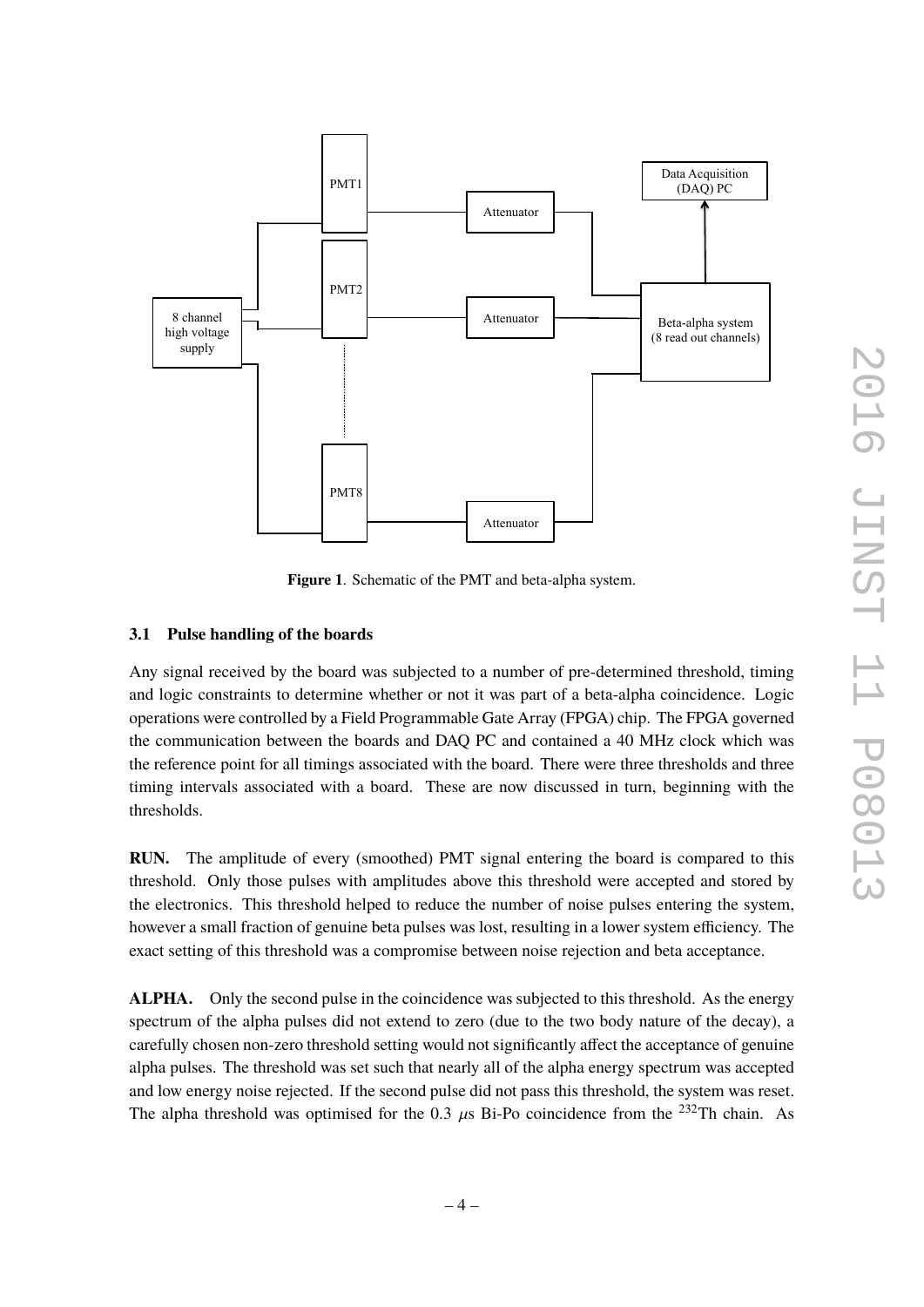

**Figure 1**. Schematic of the PMT and beta-alpha system.

#### **3.1 Pulse handling of the boards**

Any signal received by the board was subjected to a number of pre-determined threshold, timing and logic constraints to determine whether or not it was part of a beta-alpha coincidence. Logic operations were controlled by a Field Programmable Gate Array (FPGA) chip. The FPGA governed the communication between the boards and DAQ PC and contained a 40 MHz clock which was the reference point for all timings associated with the board. There were three thresholds and three timing intervals associated with a board. These are now discussed in turn, beginning with the thresholds.

**RUN.** The amplitude of every (smoothed) PMT signal entering the board is compared to this threshold. Only those pulses with amplitudes above this threshold were accepted and stored by the electronics. This threshold helped to reduce the number of noise pulses entering the system, however a small fraction of genuine beta pulses was lost, resulting in a lower system efficiency. The exact setting of this threshold was a compromise between noise rejection and beta acceptance.

**ALPHA.** Only the second pulse in the coincidence was subjected to this threshold. As the energy spectrum of the alpha pulses did not extend to zero (due to the two body nature of the decay), a carefully chosen non-zero threshold setting would not significantly affect the acceptance of genuine alpha pulses. The threshold was set such that nearly all of the alpha energy spectrum was accepted and low energy noise rejected. If the second pulse did not pass this threshold, the system was reset. The alpha threshold was optimised for the 0.3  $\mu$ s Bi-Po coincidence from the <sup>232</sup>Th chain. As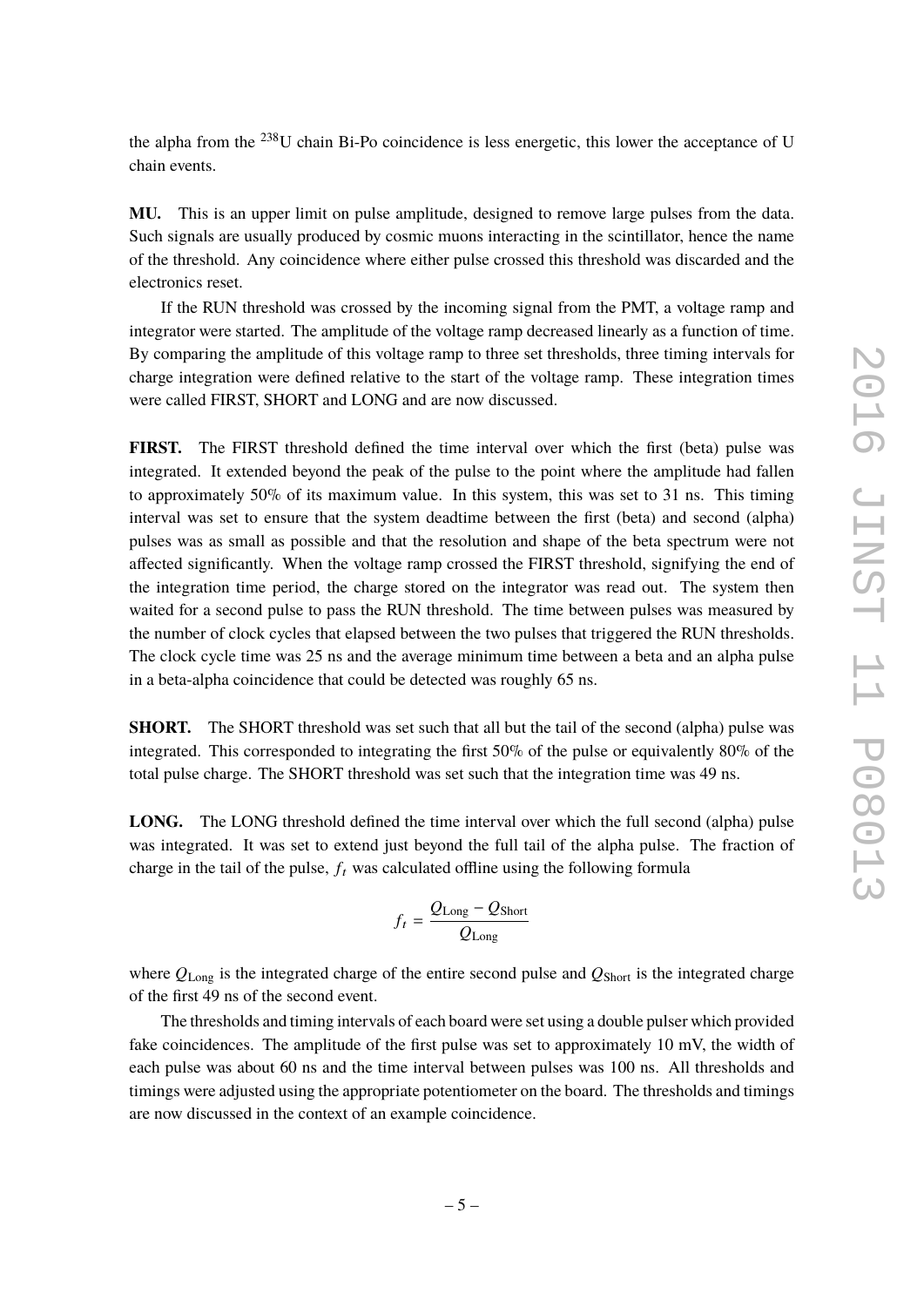<span id="page-7-0"></span>the alpha from the  $^{238}$ U chain Bi-Po coincidence is less energetic, this lower the acceptance of U chain events.

**MU.** This is an upper limit on pulse amplitude, designed to remove large pulses from the data. Such signals are usually produced by cosmic muons interacting in the scintillator, hence the name of the threshold. Any coincidence where either pulse crossed this threshold was discarded and the electronics reset.

If the RUN threshold was crossed by the incoming signal from the PMT, a voltage ramp and integrator were started. The amplitude of the voltage ramp decreased linearly as a function of time. By comparing the amplitude of this voltage ramp to three set thresholds, three timing intervals for charge integration were defined relative to the start of the voltage ramp. These integration times were called FIRST, SHORT and LONG and are now discussed.

**FIRST.** The FIRST threshold defined the time interval over which the first (beta) pulse was integrated. It extended beyond the peak of the pulse to the point where the amplitude had fallen to approximately 50% of its maximum value. In this system, this was set to 31 ns. This timing interval was set to ensure that the system deadtime between the first (beta) and second (alpha) pulses was as small as possible and that the resolution and shape of the beta spectrum were not affected significantly. When the voltage ramp crossed the FIRST threshold, signifying the end of the integration time period, the charge stored on the integrator was read out. The system then waited for a second pulse to pass the RUN threshold. The time between pulses was measured by the number of clock cycles that elapsed between the two pulses that triggered the RUN thresholds. The clock cycle time was 25 ns and the average minimum time between a beta and an alpha pulse in a beta-alpha coincidence that could be detected was roughly 65 ns.

**SHORT.** The SHORT threshold was set such that all but the tail of the second (alpha) pulse was integrated. This corresponded to integrating the first 50% of the pulse or equivalently 80% of the total pulse charge. The SHORT threshold was set such that the integration time was 49 ns.

<span id="page-7-1"></span>LONG. The LONG threshold defined the time interval over which the full second (alpha) pulse was integrated. It was set to extend just beyond the full tail of the alpha pulse. The fraction of charge in the tail of the pulse,  $f_t$  was calculated offline using the following formula

$$
f_t = \frac{Q_{\text{Long}} - Q_{\text{Short}}}{Q_{\text{Long}}}
$$

where *Q*Long is the integrated charge of the entire second pulse and *Q*Short is the integrated charge of the first 49 ns of the second event.

The thresholds and timing intervals of each board were set using a double pulser which provided fake coincidences. The amplitude of the first pulse was set to approximately 10 mV, the width of each pulse was about 60 ns and the time interval between pulses was 100 ns. All thresholds and timings were adjusted using the appropriate potentiometer on the board. The thresholds and timings are now discussed in the context of an example coincidence.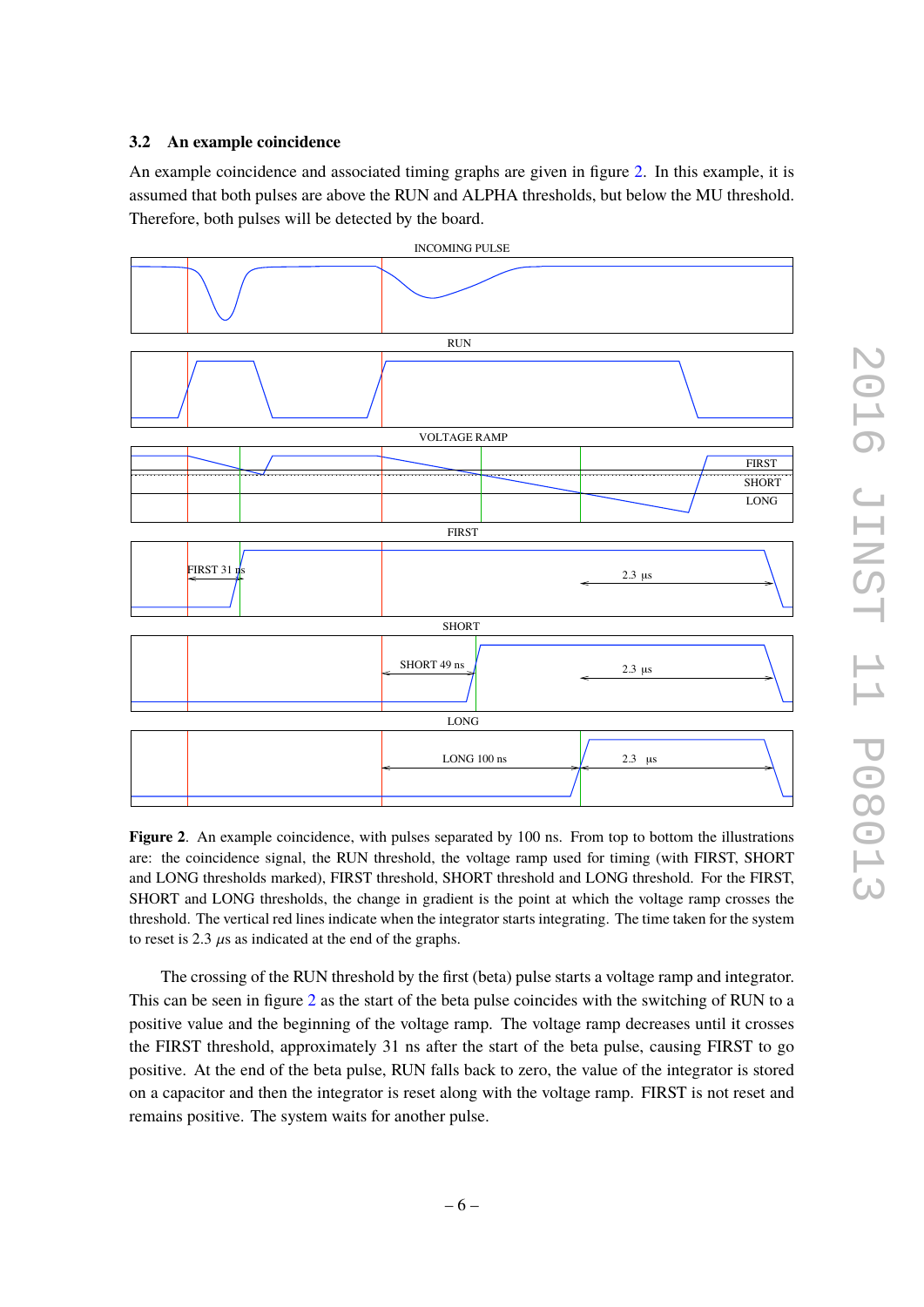#### **3.2 An example coincidence**

An example coincidence and associated timing graphs are given in figure [2.](#page-7-1) In this example, it is assumed that both pulses are above the RUN and ALPHA thresholds, but below the MU threshold. Therefore, both pulses will be detected by the board.

<span id="page-8-0"></span>

<span id="page-8-1"></span>**Figure 2**. An example coincidence, with pulses separated by 100 ns. From top to bottom the illustrations are: the coincidence signal, the RUN threshold, the voltage ramp used for timing (with FIRST, SHORT and LONG thresholds marked), FIRST threshold, SHORT threshold and LONG threshold. For the FIRST, SHORT and LONG thresholds, the change in gradient is the point at which the voltage ramp crosses the threshold. The vertical red lines indicate when the integrator starts integrating. The time taken for the system to reset is 2.3  $\mu$ s as indicated at the end of the graphs.

<span id="page-8-2"></span>The crossing of the RUN threshold by the first (beta) pulse starts a voltage ramp and integrator. This can be seen in figure [2](#page-7-1) as the start of the beta pulse coincides with the switching of RUN to a positive value and the beginning of the voltage ramp. The voltage ramp decreases until it crosses the FIRST threshold, approximately 31 ns after the start of the beta pulse, causing FIRST to go positive. At the end of the beta pulse, RUN falls back to zero, the value of the integrator is stored on a capacitor and then the integrator is reset along with the voltage ramp. FIRST is not reset and remains positive. The system waits for another pulse.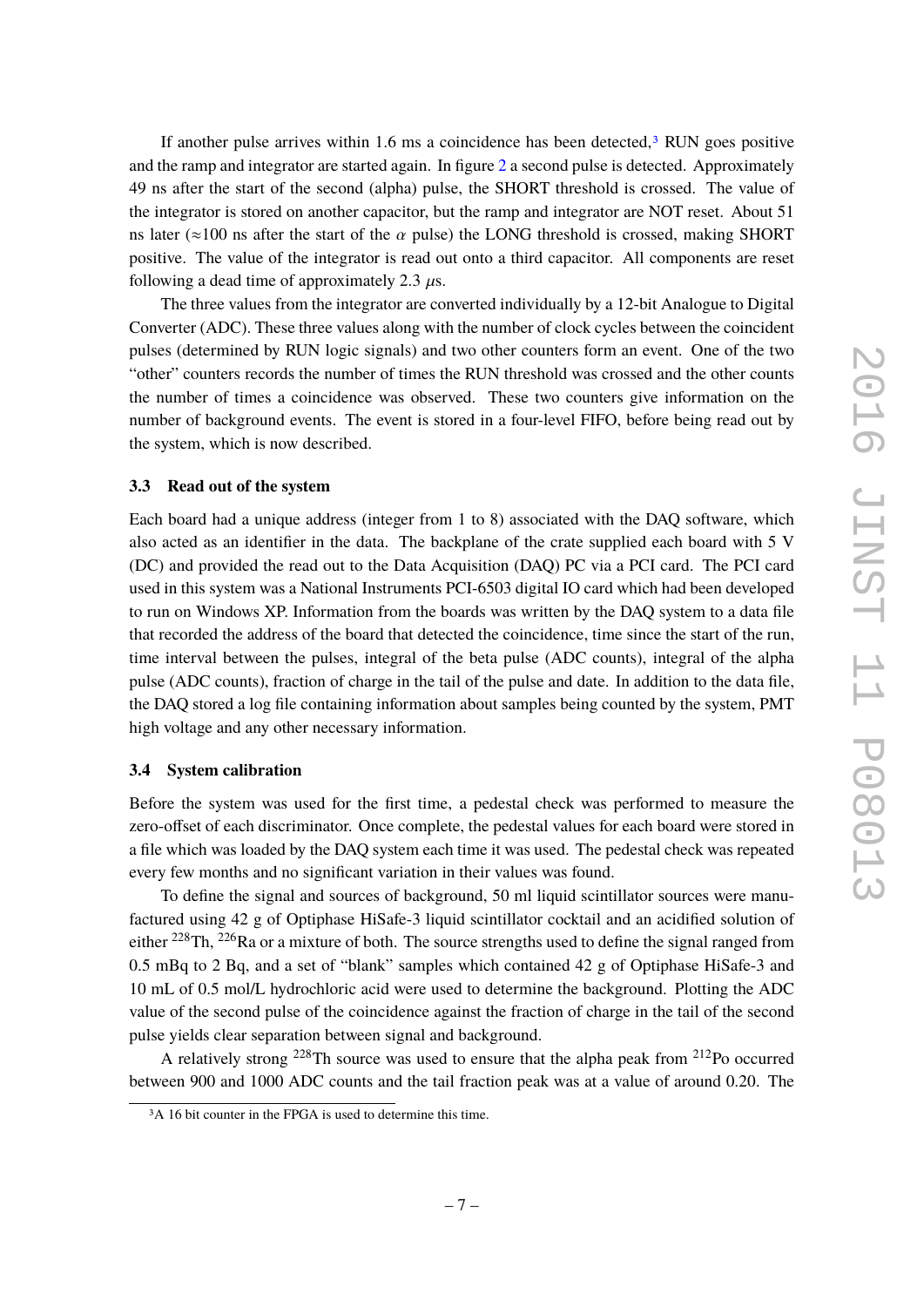If another pulse arrives within 1.6 ms a coincidence has been detected, $3$  RUN goes positive and the ramp and integrator are started again. In figure [2](#page-7-1) a second pulse is detected. Approximately 49 ns after the start of the second (alpha) pulse, the SHORT threshold is crossed. The value of the integrator is stored on another capacitor, but the ramp and integrator are NOT reset. About 51 ns later ( $\approx$ 100 ns after the start of the  $\alpha$  pulse) the LONG threshold is crossed, making SHORT positive. The value of the integrator is read out onto a third capacitor. All components are reset following a dead time of approximately 2.3  $\mu$ s.

The three values from the integrator are converted individually by a 12-bit Analogue to Digital Converter (ADC). These three values along with the number of clock cycles between the coincident pulses (determined by RUN logic signals) and two other counters form an event. One of the two "other" counters records the number of times the RUN threshold was crossed and the other counts the number of times a coincidence was observed. These two counters give information on the number of background events. The event is stored in a four-level FIFO, before being read out by the system, which is now described.

#### **3.3 Read out of the system**

Each board had a unique address (integer from 1 to 8) associated with the DAQ software, which also acted as an identifier in the data. The backplane of the crate supplied each board with 5 V (DC) and provided the read out to the Data Acquisition (DAQ) PC via a PCI card. The PCI card used in this system was a National Instruments PCI-6503 digital IO card which had been developed to run on Windows XP. Information from the boards was written by the DAQ system to a data file that recorded the address of the board that detected the coincidence, time since the start of the run, time interval between the pulses, integral of the beta pulse (ADC counts), integral of the alpha pulse (ADC counts), fraction of charge in the tail of the pulse and date. In addition to the data file, the DAQ stored a log file containing information about samples being counted by the system, PMT high voltage and any other necessary information.

#### **3.4 System calibration**

Before the system was used for the first time, a pedestal check was performed to measure the zero-offset of each discriminator. Once complete, the pedestal values for each board were stored in a file which was loaded by the DAQ system each time it was used. The pedestal check was repeated every few months and no significant variation in their values was found.

<span id="page-9-0"></span>To define the signal and sources of background, 50 ml liquid scintillator sources were manufactured using 42 g of Optiphase HiSafe-3 liquid scintillator cocktail and an acidified solution of either  $^{228}$ Th,  $^{226}$ Ra or a mixture of both. The source strengths used to define the signal ranged from 0.5 mBq to 2 Bq, and a set of "blank" samples which contained 42 g of Optiphase HiSafe-3 and 10 mL of 0.5 mol/L hydrochloric acid were used to determine the background. Plotting the ADC value of the second pulse of the coincidence against the fraction of charge in the tail of the second pulse yields clear separation between signal and background.

A relatively strong <sup>228</sup>Th source was used to ensure that the alpha peak from <sup>212</sup>Po occurred between 900 and 1000 ADC counts and the tail fraction peak was at a value of around 0.20. The

<sup>&</sup>lt;sup>3</sup>A 16 bit counter in the FPGA is used to determine this time.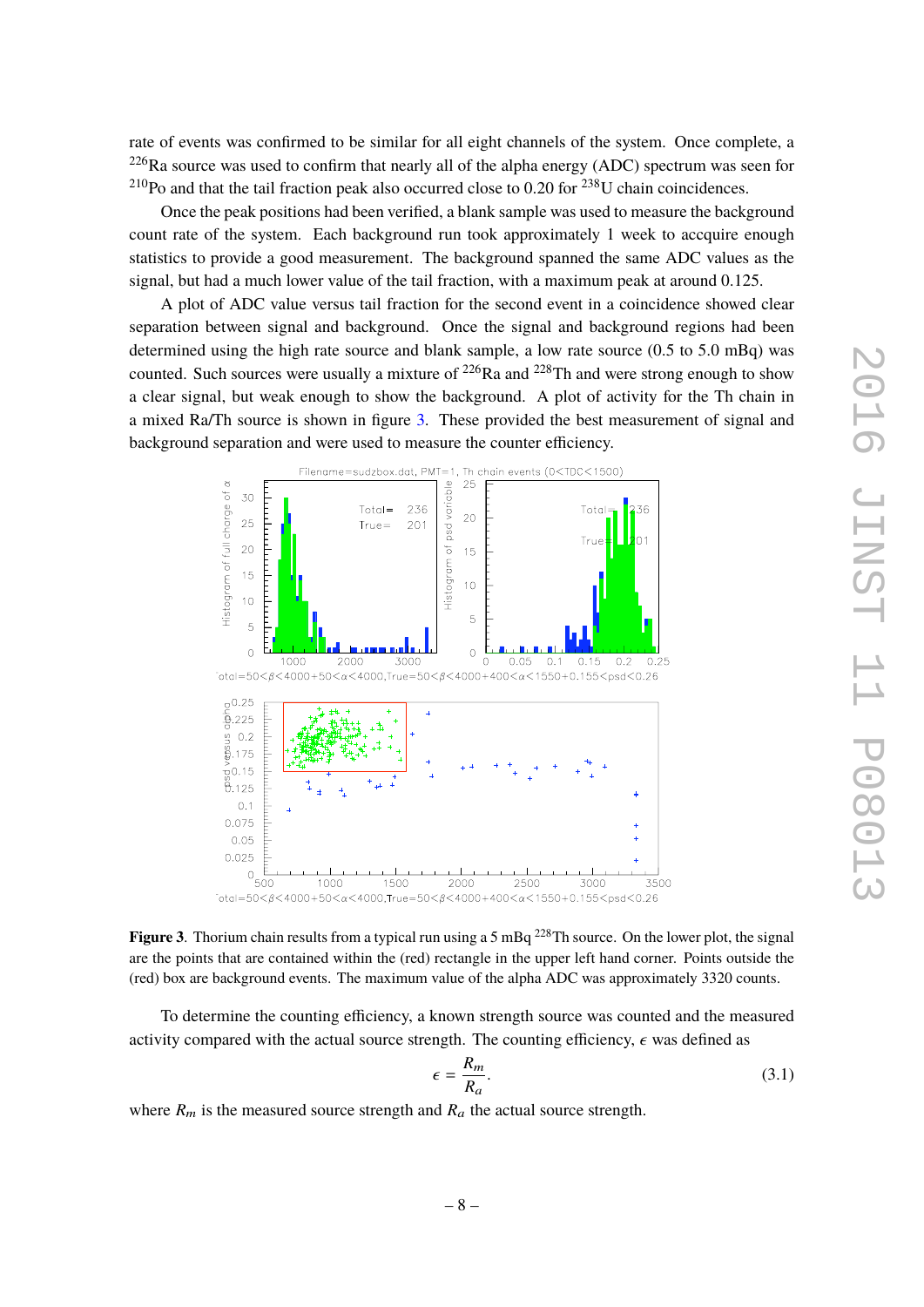rate of events was confirmed to be similar for all eight channels of the system. Once complete, a  $226$ Ra source was used to confirm that nearly all of the alpha energy (ADC) spectrum was seen for  $^{210}$ Po and that the tail fraction peak also occurred close to 0.20 for  $^{238}$ U chain coincidences.

Once the peak positions had been verified, a blank sample was used to measure the background count rate of the system. Each background run took approximately 1 week to accquire enough statistics to provide a good measurement. The background spanned the same ADC values as the signal, but had a much lower value of the tail fraction, with a maximum peak at around 0.125.

A plot of ADC value versus tail fraction for the second event in a coincidence showed clear separation between signal and background. Once the signal and background regions had been determined using the high rate source and blank sample, a low rate source (0.5 to 5.0 mBq) was counted. Such sources were usually a mixture of  $^{226}$ Ra and  $^{228}$ Th and were strong enough to show a clear signal, but weak enough to show the background. A plot of activity for the Th chain in a mixed Ra/Th source is shown in figure [3.](#page-9-0) These provided the best measurement of signal and background separation and were used to measure the counter efficiency.

<span id="page-10-0"></span>

**Figure 3**. Thorium chain results from a typical run using a 5 mBq <sup>228</sup>Th source. On the lower plot, the signal are the points that are contained within the (red) rectangle in the upper left hand corner. Points outside the (red) box are background events. The maximum value of the alpha ADC was approximately 3320 counts.

To determine the counting efficiency, a known strength source was counted and the measured activity compared with the actual source strength. The counting efficiency,  $\epsilon$  was defined as

$$
\epsilon = \frac{R_m}{R_a}.\tag{3.1}
$$

where  $R_m$  is the measured source strength and  $R_a$  the actual source strength.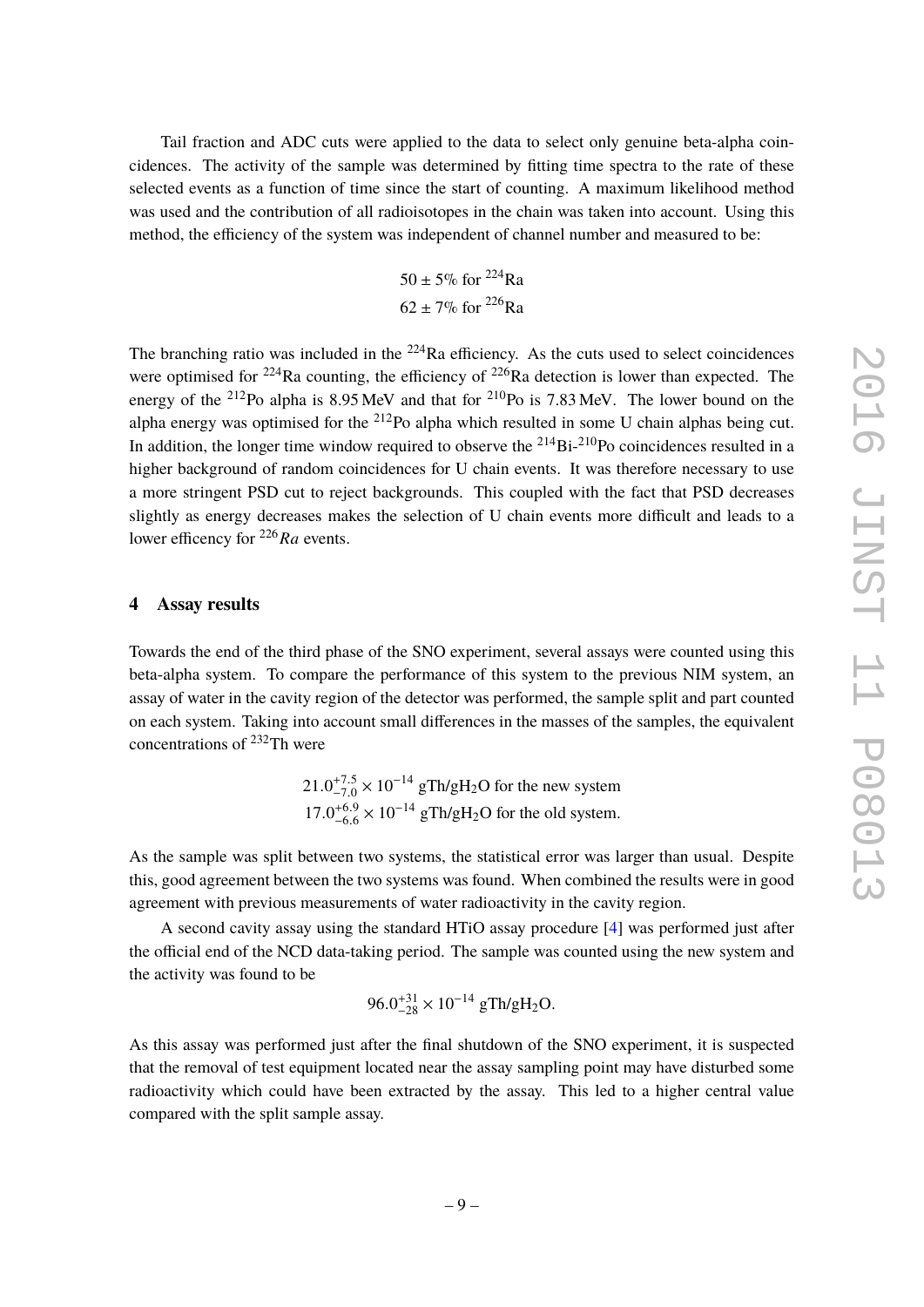<span id="page-11-0"></span>Tail fraction and ADC cuts were applied to the data to select only genuine beta-alpha coincidences. The activity of the sample was determined by fitting time spectra to the rate of these selected events as a function of time since the start of counting. A maximum likelihood method was used and the contribution of all radioisotopes in the chain was taken into account. Using this method, the efficiency of the system was independent of channel number and measured to be:

$$
50 \pm 5\% \text{ for } ^{224}\text{Ra}
$$

$$
62 \pm 7\% \text{ for } ^{226}\text{Ra}
$$

The branching ratio was included in the  $224$ Ra efficiency. As the cuts used to select coincidences were optimised for  $224$ Ra counting, the efficiency of  $226$ Ra detection is lower than expected. The energy of the <sup>212</sup>Po alpha is 8.95 MeV and that for <sup>210</sup>Po is 7.83 MeV. The lower bound on the alpha energy was optimised for the  $212$ Po alpha which resulted in some U chain alphas being cut. In addition, the longer time window required to observe the  $^{214}Bi^{-210}Po$  coincidences resulted in a higher background of random coincidences for U chain events. It was therefore necessary to use a more stringent PSD cut to reject backgrounds. This coupled with the fact that PSD decreases slightly as energy decreases makes the selection of U chain events more difficult and leads to a lower efficency for <sup>226</sup>*Ra* events.

#### <span id="page-11-2"></span><span id="page-11-1"></span>**4 Assay results**

<span id="page-11-4"></span><span id="page-11-3"></span>Towards the end of the third phase of the SNO experiment, several assays were counted using this beta-alpha system. To compare the performance of this system to the previous NIM system, an assay of water in the cavity region of the detector was performed, the sample split and part counted on each system. Taking into account small differences in the masses of the samples, the equivalent concentrations of  $^{232}$ Th were

> $21.0^{+7.5}_{-7.0} \times 10^{-14}$  gTh/gH<sub>2</sub>O for the new system  $17.0^{+6.9}_{-6.6}$  $_{-6.6}^{+6.9} \times 10^{-14}$  gTh/gH<sub>2</sub>O for the old system.

<span id="page-11-5"></span>As the sample was split between two systems, the statistical error was larger than usual. Despite this, good agreement between the two systems was found. When combined the results were in good agreement with previous measurements of water radioactivity in the cavity region.

A second cavity assay using the standard HTiO assay procedure [\[4\]](#page-11-4) was performed just after the official end of the NCD data-taking period. The sample was counted using the new system and the activity was found to be

$$
96.0^{+31}_{-28} \times 10^{-14} \text{ gTh/gH}_2\text{O}.
$$

As this assay was performed just after the final shutdown of the SNO experiment, it is suspected that the removal of test equipment located near the assay sampling point may have disturbed some radioactivity which could have been extracted by the assay. This led to a higher central value compared with the split sample assay.